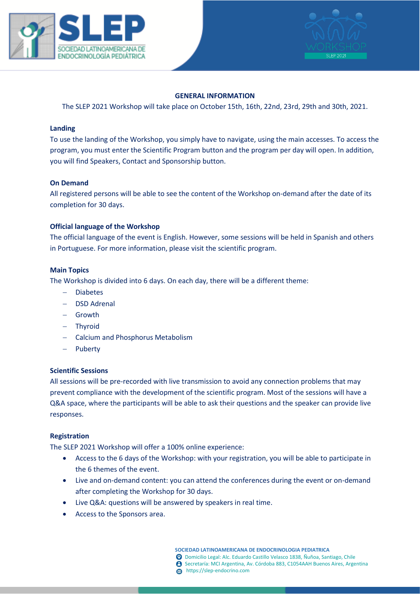



# **GENERAL INFORMATION**

The SLEP 2021 Workshop will take place on October 15th, 16th, 22nd, 23rd, 29th and 30th, 2021.

#### **Landing**

To use the landing of the Workshop, you simply have to navigate, using the main accesses. To access the program, you must enter the Scientific Program button and the program per day will open. In addition, you will find Speakers, Contact and Sponsorship button.

### **On Demand**

All registered persons will be able to see the content of the Workshop on-demand after the date of its completion for 30 days.

### **Official language of the Workshop**

The official language of the event is English. However, some sessions will be held in Spanish and others in Portuguese. For more information, please visit the scientific program.

### **Main Topics**

The Workshop is divided into 6 days. On each day, there will be a different theme:

- − Diabetes
- − DSD Adrenal
- − Growth
- − Thyroid
- − Calcium and Phosphorus Metabolism
- − Puberty

# **Scientific Sessions**

All sessions will be pre-recorded with live transmission to avoid any connection problems that may prevent compliance with the development of the scientific program. Most of the sessions will have a Q&A space, where the participants will be able to ask their questions and the speaker can provide live responses.

# **Registration**

The SLEP 2021 Workshop will offer a 100% online experience:

- Access to the 6 days of the Workshop: with your registration, you will be able to participate in the 6 themes of the event.
- Live and on-demand content: you can attend the conferences during the event or on-demand after completing the Workshop for 30 days.
- Live Q&A: questions will be answered by speakers in real time.
- Access to the Sponsors area.

**SOCIEDAD LATINOAMERICANA DE ENDOCRINOLOGIA PEDIATRICA** Domicilio Legal: Alc. Eduardo Castillo Velasco 1838, Ñuñoa, Santiago, Chile Secretaría: MCI Argentina, Av. Córdoba 883, C1054AAH Buenos Aires, Argentina https://slep-endocrino.com